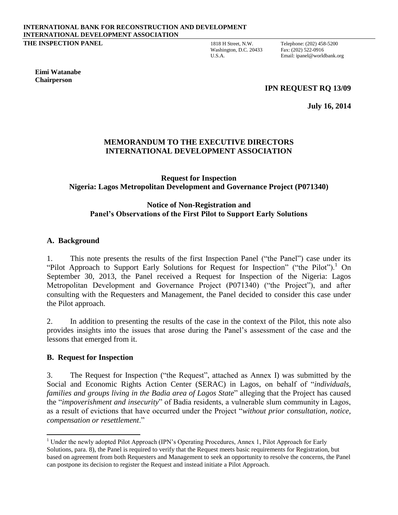# **INTERNATIONAL BANK FOR RECONSTRUCTION AND DEVELOPMENT INTERNATIONAL DEVELOPMENT ASSOCIATION**

**THE INSPECTION PANEL** 1818 H Street, N.W. Telephone: (202) 458-5200<br>Washington, D.C. 20433 Fax: (202) 522-0916 Washington, D.C. 20433

U.S.A. Email: ipanel@worldbank.org

#### **Eimi Watanabe Chairperson**

## **IPN REQUEST RQ 13/09**

**July 16, 2014**

### **MEMORANDUM TO THE EXECUTIVE DIRECTORS INTERNATIONAL DEVELOPMENT ASSOCIATION**

**Request for Inspection Nigeria: Lagos Metropolitan Development and Governance Project (P071340)**

# **Notice of Non-Registration and Panel's Observations of the First Pilot to Support Early Solutions**

#### **A. Background**

1. This note presents the results of the first Inspection Panel ("the Panel") case under its "Pilot Approach to Support Early Solutions for Request for Inspection" ("the Pilot").<sup>1</sup> On September 30, 2013, the Panel received a Request for Inspection of the Nigeria: Lagos Metropolitan Development and Governance Project (P071340) ("the Project"), and after consulting with the Requesters and Management, the Panel decided to consider this case under the Pilot approach.

2. In addition to presenting the results of the case in the context of the Pilot, this note also provides insights into the issues that arose during the Panel's assessment of the case and the lessons that emerged from it.

#### **B. Request for Inspection**

l

3. The Request for Inspection ("the Request", attached as Annex I) was submitted by the Social and Economic Rights Action Center (SERAC) in Lagos, on behalf of "*individuals, families and groups living in the Badia area of Lagos State*" alleging that the Project has caused the "*impoverishment and insecurity*" of Badia residents, a vulnerable slum community in Lagos, as a result of evictions that have occurred under the Project "*without prior consultation, notice, compensation or resettlement*."

<sup>&</sup>lt;sup>1</sup> Under the newly adopted Pilot Approach (IPN's Operating Procedures, Annex 1, Pilot Approach for Early Solutions, para. 8), the Panel is required to verify that the Request meets basic requirements for Registration, but based on agreement from both Requesters and Management to seek an opportunity to resolve the concerns, the Panel can postpone its decision to register the Request and instead initiate a Pilot Approach.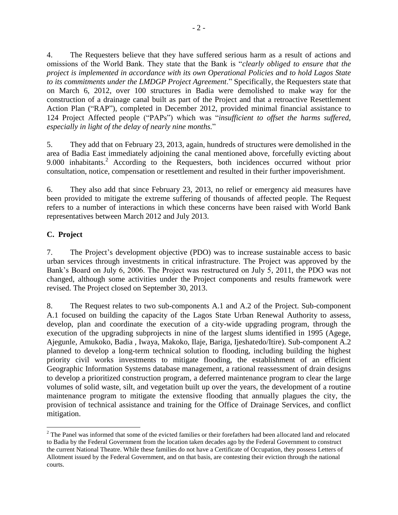4. The Requesters believe that they have suffered serious harm as a result of actions and omissions of the World Bank. They state that the Bank is "*clearly obliged to ensure that the project is implemented in accordance with its own Operational Policies and to hold Lagos State to its commitments under the LMDGP Project Agreement*." Specifically, the Requesters state that on March 6, 2012, over 100 structures in Badia were demolished to make way for the construction of a drainage canal built as part of the Project and that a retroactive Resettlement Action Plan ("RAP"), completed in December 2012, provided minimal financial assistance to 124 Project Affected people ("PAPs") which was "*insufficient to offset the harms suffered, especially in light of the delay of nearly nine months.*"

5. They add that on February 23, 2013, again, hundreds of structures were demolished in the area of Badia East immediately adjoining the canal mentioned above, forcefully evicting about 9.000 inhabitants.<sup>2</sup> According to the Requesters, both incidences occurred without prior consultation, notice, compensation or resettlement and resulted in their further impoverishment.

6. They also add that since February 23, 2013, no relief or emergency aid measures have been provided to mitigate the extreme suffering of thousands of affected people. The Request refers to a number of interactions in which these concerns have been raised with World Bank representatives between March 2012 and July 2013.

# **C. Project**

 $\overline{\phantom{a}}$ 

7. The Project's development objective (PDO) was to increase sustainable access to basic urban services through investments in critical infrastructure. The Project was approved by the Bank's Board on July 6, 2006. The Project was restructured on July 5, 2011, the PDO was not changed, although some activities under the Project components and results framework were revised. The Project closed on September 30, 2013.

8. The Request relates to two sub-components A.1 and A.2 of the Project. Sub-component A.1 focused on building the capacity of the Lagos State Urban Renewal Authority to assess, develop, plan and coordinate the execution of a city-wide upgrading program, through the execution of the upgrading subprojects in nine of the largest slums identified in 1995 (Agege, Ajegunle, Amukoko, Badia , Iwaya, Makoko, Ilaje, Bariga, Ijeshatedo/Itire). Sub-component A.2 planned to develop a long-term technical solution to flooding, including building the highest priority civil works investments to mitigate flooding, the establishment of an efficient Geographic Information Systems database management, a rational reassessment of drain designs to develop a prioritized construction program, a deferred maintenance program to clear the large volumes of solid waste, silt, and vegetation built up over the years, the development of a routine maintenance program to mitigate the extensive flooding that annually plagues the city, the provision of technical assistance and training for the Office of Drainage Services, and conflict mitigation.

<sup>&</sup>lt;sup>2</sup> The Panel was informed that some of the evicted families or their forefathers had been allocated land and relocated to Badia by the Federal Government from the location taken decades ago by the Federal Government to construct the current National Theatre. While these families do not have a Certificate of Occupation, they possess Letters of Allotment issued by the Federal Government, and on that basis, are contesting their eviction through the national courts.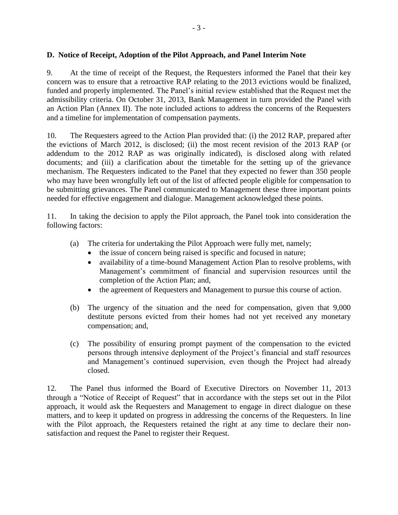## **D. Notice of Receipt, Adoption of the Pilot Approach, and Panel Interim Note**

9. At the time of receipt of the Request, the Requesters informed the Panel that their key concern was to ensure that a retroactive RAP relating to the 2013 evictions would be finalized, funded and properly implemented. The Panel's initial review established that the Request met the admissibility criteria. On October 31, 2013, Bank Management in turn provided the Panel with an Action Plan (Annex II). The note included actions to address the concerns of the Requesters and a timeline for implementation of compensation payments.

10. The Requesters agreed to the Action Plan provided that: (i) the 2012 RAP, prepared after the evictions of March 2012, is disclosed; (ii) the most recent revision of the 2013 RAP (or addendum to the 2012 RAP as was originally indicated), is disclosed along with related documents; and (iii) a clarification about the timetable for the setting up of the grievance mechanism. The Requesters indicated to the Panel that they expected no fewer than 350 people who may have been wrongfully left out of the list of affected people eligible for compensation to be submitting grievances. The Panel communicated to Management these three important points needed for effective engagement and dialogue. Management acknowledged these points.

11. In taking the decision to apply the Pilot approach, the Panel took into consideration the following factors:

- (a) The criteria for undertaking the Pilot Approach were fully met, namely;
	- the issue of concern being raised is specific and focused in nature;
	- availability of a time-bound Management Action Plan to resolve problems, with Management's commitment of financial and supervision resources until the completion of the Action Plan; and,
	- the agreement of Requesters and Management to pursue this course of action.
- (b) The urgency of the situation and the need for compensation, given that 9,000 destitute persons evicted from their homes had not yet received any monetary compensation; and,
- (c) The possibility of ensuring prompt payment of the compensation to the evicted persons through intensive deployment of the Project's financial and staff resources and Management's continued supervision, even though the Project had already closed.

12. The Panel thus informed the Board of Executive Directors on November 11, 2013 through a "Notice of Receipt of Request" that in accordance with the steps set out in the Pilot approach, it would ask the Requesters and Management to engage in direct dialogue on these matters, and to keep it updated on progress in addressing the concerns of the Requesters. In line with the Pilot approach, the Requesters retained the right at any time to declare their nonsatisfaction and request the Panel to register their Request.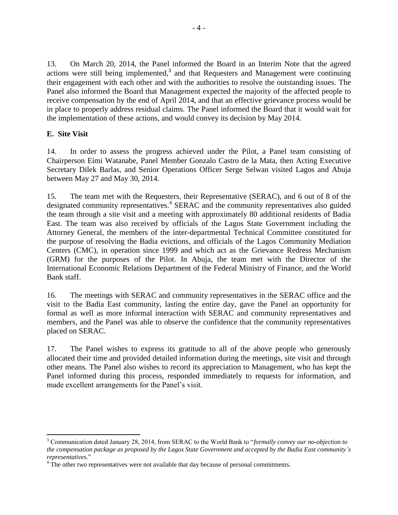13. On March 20, 2014, the Panel informed the Board in an Interim Note that the agreed actions were still being implemented, $3$  and that Requesters and Management were continuing their engagement with each other and with the authorities to resolve the outstanding issues. The Panel also informed the Board that Management expected the majority of the affected people to receive compensation by the end of April 2014, and that an effective grievance process would be in place to properly address residual claims. The Panel informed the Board that it would wait for the implementation of these actions, and would convey its decision by May 2014.

# **E. Site Visit**

l

14. In order to assess the progress achieved under the Pilot, a Panel team consisting of Chairperson Eimi Watanabe, Panel Member Gonzalo Castro de la Mata, then Acting Executive Secretary Dilek Barlas, and Senior Operations Officer Serge Selwan visited Lagos and Abuja between May 27 and May 30, 2014.

15. The team met with the Requesters, their Representative (SERAC), and 6 out of 8 of the designated community representatives. 4 SERAC and the community representatives also guided the team through a site visit and a meeting with approximately 80 additional residents of Badia East. The team was also received by officials of the Lagos State Government including the Attorney General, the members of the inter-departmental Technical Committee constituted for the purpose of resolving the Badia evictions, and officials of the Lagos Community Mediation Centers (CMC), in operation since 1999 and which act as the Grievance Redress Mechanism (GRM) for the purposes of the Pilot. In Abuja, the team met with the Director of the International Economic Relations Department of the Federal Ministry of Finance, and the World Bank staff.

16. The meetings with SERAC and community representatives in the SERAC office and the visit to the Badia East community, lasting the entire day, gave the Panel an opportunity for formal as well as more informal interaction with SERAC and community representatives and members, and the Panel was able to observe the confidence that the community representatives placed on SERAC.

17. The Panel wishes to express its gratitude to all of the above people who generously allocated their time and provided detailed information during the meetings, site visit and through other means. The Panel also wishes to record its appreciation to Management, who has kept the Panel informed during this process, responded immediately to requests for information, and made excellent arrangements for the Panel's visit.

<sup>3</sup> Communication dated January 28, 2014, from SERAC to the World Bank to "*formally convey our no-objection to the compensation package as proposed by the Lagos State Government and accepted by the Badia East community's representatives*."

<sup>&</sup>lt;sup>4</sup> The other two representatives were not available that day because of personal commitments.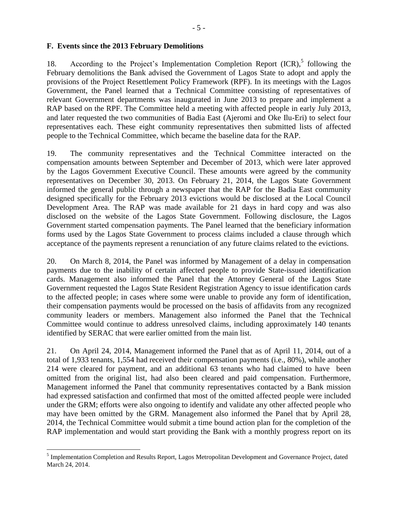#### **F. Events since the 2013 February Demolitions**

18. According to the Project's Implementation Completion Report (ICR),<sup>5</sup> following the February demolitions the Bank advised the Government of Lagos State to adopt and apply the provisions of the Project Resettlement Policy Framework (RPF). In its meetings with the Lagos Government, the Panel learned that a Technical Committee consisting of representatives of relevant Government departments was inaugurated in June 2013 to prepare and implement a RAP based on the RPF. The Committee held a meeting with affected people in early July 2013, and later requested the two communities of Badia East (Ajeromi and Oke Ilu-Eri) to select four representatives each. These eight community representatives then submitted lists of affected people to the Technical Committee, which became the baseline data for the RAP.

19. The community representatives and the Technical Committee interacted on the compensation amounts between September and December of 2013, which were later approved by the Lagos Government Executive Council. These amounts were agreed by the community representatives on December 30, 2013. On February 21, 2014, the Lagos State Government informed the general public through a newspaper that the RAP for the Badia East community designed specifically for the February 2013 evictions would be disclosed at the Local Council Development Area. The RAP was made available for 21 days in hard copy and was also disclosed on the website of the Lagos State Government. Following disclosure, the Lagos Government started compensation payments. The Panel learned that the beneficiary information forms used by the Lagos State Government to process claims included a clause through which acceptance of the payments represent a renunciation of any future claims related to the evictions.

20. On March 8, 2014, the Panel was informed by Management of a delay in compensation payments due to the inability of certain affected people to provide State-issued identification cards. Management also informed the Panel that the Attorney General of the Lagos State Government requested the Lagos State Resident Registration Agency to issue identification cards to the affected people; in cases where some were unable to provide any form of identification, their compensation payments would be processed on the basis of affidavits from any recognized community leaders or members. Management also informed the Panel that the Technical Committee would continue to address unresolved claims, including approximately 140 tenants identified by SERAC that were earlier omitted from the main list.

21. On April 24, 2014, Management informed the Panel that as of April 11, 2014, out of a total of 1,933 tenants, 1,554 had received their compensation payments (i.e., 80%), while another 214 were cleared for payment, and an additional 63 tenants who had claimed to have been omitted from the original list, had also been cleared and paid compensation. Furthermore, Management informed the Panel that community representatives contacted by a Bank mission had expressed satisfaction and confirmed that most of the omitted affected people were included under the GRM; efforts were also ongoing to identify and validate any other affected people who may have been omitted by the GRM. Management also informed the Panel that by April 28, 2014, the Technical Committee would submit a time bound action plan for the completion of the RAP implementation and would start providing the Bank with a monthly progress report on its

<sup>&</sup>lt;sup>5</sup> Implementation Completion and Results Report, Lagos Metropolitan Development and Governance Project, dated March 24, 2014.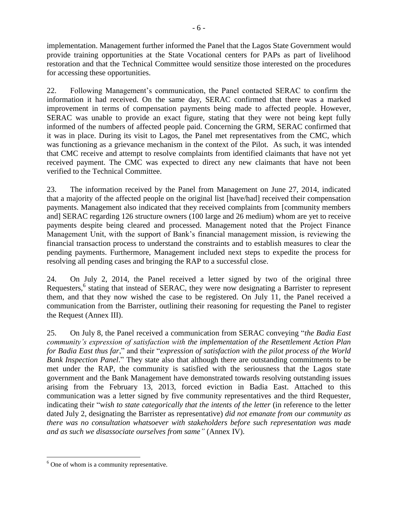implementation. Management further informed the Panel that the Lagos State Government would provide training opportunities at the State Vocational centers for PAPs as part of livelihood restoration and that the Technical Committee would sensitize those interested on the procedures for accessing these opportunities.

22. Following Management's communication, the Panel contacted SERAC to confirm the information it had received. On the same day, SERAC confirmed that there was a marked improvement in terms of compensation payments being made to affected people. However, SERAC was unable to provide an exact figure, stating that they were not being kept fully informed of the numbers of affected people paid. Concerning the GRM, SERAC confirmed that it was in place. During its visit to Lagos, the Panel met representatives from the CMC, which was functioning as a grievance mechanism in the context of the Pilot. As such, it was intended that CMC receive and attempt to resolve complaints from identified claimants that have not yet received payment. The CMC was expected to direct any new claimants that have not been verified to the Technical Committee.

23. The information received by the Panel from Management on June 27, 2014, indicated that a majority of the affected people on the original list [have/had] received their compensation payments. Management also indicated that they received complaints from [community members and] SERAC regarding 126 structure owners (100 large and 26 medium) whom are yet to receive payments despite being cleared and processed. Management noted that the Project Finance Management Unit, with the support of Bank's financial management mission, is reviewing the financial transaction process to understand the constraints and to establish measures to clear the pending payments. Furthermore, Management included next steps to expedite the process for resolving all pending cases and bringing the RAP to a successful close.

24. On July 2, 2014, the Panel received a letter signed by two of the original three Requesters,<sup>6</sup> stating that instead of SERAC, they were now designating a Barrister to represent them, and that they now wished the case to be registered. On July 11, the Panel received a communication from the Barrister, outlining their reasoning for requesting the Panel to register the Request (Annex III).

25. On July 8, the Panel received a communication from SERAC conveying "*the Badia East community's expression of satisfaction with the implementation of the Resettlement Action Plan for Badia East thus far*," and their "*expression of satisfaction with the pilot process of the World Bank Inspection Panel*." They state also that although there are outstanding commitments to be met under the RAP, the community is satisfied with the seriousness that the Lagos state government and the Bank Management have demonstrated towards resolving outstanding issues arising from the February 13, 2013, forced eviction in Badia East. Attached to this communication was a letter signed by five community representatives and the third Requester, indicating their "*wish to state categorically that the intents of the letter* (in reference to the letter dated July 2, designating the Barrister as representative) *did not emanate from our community as there was no consultation whatsoever with stakeholders before such representation was made and as such we disassociate ourselves from same"* (Annex IV).

 $6$  One of whom is a community representative.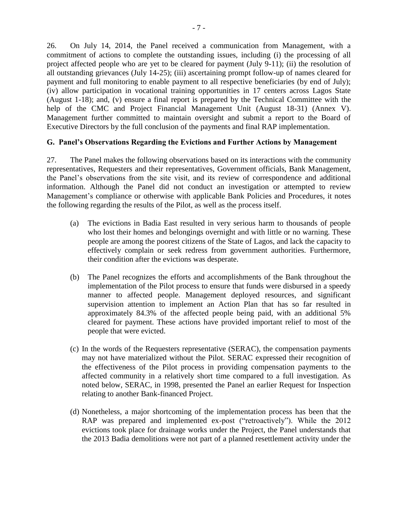26. On July 14, 2014, the Panel received a communication from Management, with a commitment of actions to complete the outstanding issues, including (i) the processing of all project affected people who are yet to be cleared for payment (July 9-11); (ii) the resolution of all outstanding grievances (July 14-25); (iii) ascertaining prompt follow-up of names cleared for payment and full monitoring to enable payment to all respective beneficiaries (by end of July); (iv) allow participation in vocational training opportunities in 17 centers across Lagos State (August 1-18); and, (v) ensure a final report is prepared by the Technical Committee with the help of the CMC and Project Financial Management Unit (August 18-31) (Annex V). Management further committed to maintain oversight and submit a report to the Board of Executive Directors by the full conclusion of the payments and final RAP implementation.

### **G. Panel's Observations Regarding the Evictions and Further Actions by Management**

27. The Panel makes the following observations based on its interactions with the community representatives, Requesters and their representatives, Government officials, Bank Management, the Panel's observations from the site visit, and its review of correspondence and additional information. Although the Panel did not conduct an investigation or attempted to review Management's compliance or otherwise with applicable Bank Policies and Procedures, it notes the following regarding the results of the Pilot, as well as the process itself.

- (a) The evictions in Badia East resulted in very serious harm to thousands of people who lost their homes and belongings overnight and with little or no warning. These people are among the poorest citizens of the State of Lagos, and lack the capacity to effectively complain or seek redress from government authorities. Furthermore, their condition after the evictions was desperate.
- (b) The Panel recognizes the efforts and accomplishments of the Bank throughout the implementation of the Pilot process to ensure that funds were disbursed in a speedy manner to affected people. Management deployed resources, and significant supervision attention to implement an Action Plan that has so far resulted in approximately 84.3% of the affected people being paid, with an additional 5% cleared for payment. These actions have provided important relief to most of the people that were evicted.
- (c) In the words of the Requesters representative (SERAC), the compensation payments may not have materialized without the Pilot. SERAC expressed their recognition of the effectiveness of the Pilot process in providing compensation payments to the affected community in a relatively short time compared to a full investigation. As noted below, SERAC, in 1998, presented the Panel an earlier Request for Inspection relating to another Bank-financed Project.
- (d) Nonetheless, a major shortcoming of the implementation process has been that the RAP was prepared and implemented ex-post ("retroactively"). While the 2012 evictions took place for drainage works under the Project, the Panel understands that the 2013 Badia demolitions were not part of a planned resettlement activity under the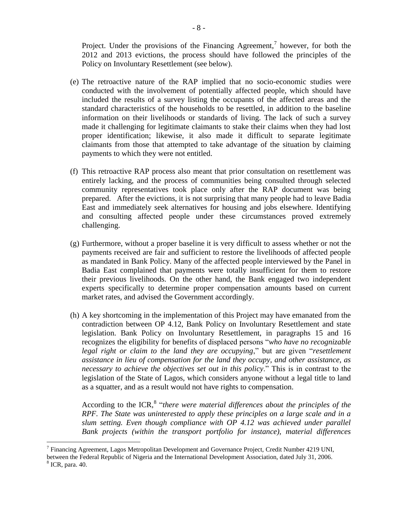Project. Under the provisions of the Financing Agreement,<sup>7</sup> however, for both the 2012 and 2013 evictions, the process should have followed the principles of the Policy on Involuntary Resettlement (see below).

- (e) The retroactive nature of the RAP implied that no socio-economic studies were conducted with the involvement of potentially affected people, which should have included the results of a survey listing the occupants of the affected areas and the standard characteristics of the households to be resettled, in addition to the baseline information on their livelihoods or standards of living. The lack of such a survey made it challenging for legitimate claimants to stake their claims when they had lost proper identification; likewise, it also made it difficult to separate legitimate claimants from those that attempted to take advantage of the situation by claiming payments to which they were not entitled.
- (f) This retroactive RAP process also meant that prior consultation on resettlement was entirely lacking, and the process of communities being consulted through selected community representatives took place only after the RAP document was being prepared. After the evictions, it is not surprising that many people had to leave Badia East and immediately seek alternatives for housing and jobs elsewhere. Identifying and consulting affected people under these circumstances proved extremely challenging.
- (g) Furthermore, without a proper baseline it is very difficult to assess whether or not the payments received are fair and sufficient to restore the livelihoods of affected people as mandated in Bank Policy. Many of the affected people interviewed by the Panel in Badia East complained that payments were totally insufficient for them to restore their previous livelihoods. On the other hand, the Bank engaged two independent experts specifically to determine proper compensation amounts based on current market rates, and advised the Government accordingly.
- (h) A key shortcoming in the implementation of this Project may have emanated from the contradiction between OP 4.12, Bank Policy on Involuntary Resettlement and state legislation. Bank Policy on Involuntary Resettlement, in paragraphs 15 and 16 recognizes the eligibility for benefits of displaced persons "*who have no recognizable legal right or claim to the land they are occupying*," but are given "*resettlement assistance in lieu of compensation for the land they occupy, and other assistance, as necessary to achieve the objectives set out in this policy*." This is in contrast to the legislation of the State of Lagos, which considers anyone without a legal title to land as a squatter, and as a result would not have rights to compensation.

According to the ICR,<sup>8</sup> "*there were material differences about the principles of the RPF. The State was uninterested to apply these principles on a large scale and in a slum setting. Even though compliance with OP 4.12 was achieved under parallel Bank projects (within the transport portfolio for instance), material differences* 

<sup>&</sup>lt;sup>7</sup> Financing Agreement, Lagos Metropolitan Development and Governance Project, Credit Number 4219 UNI,

between the Federal Republic of Nigeria and the International Development Association, dated July 31, 2006.

 $<sup>8</sup>$  ICR, para. 40.</sup>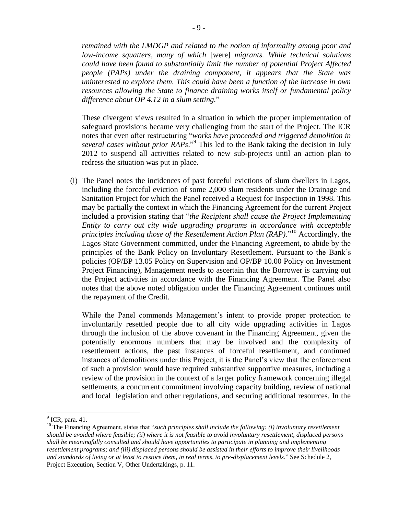*remained with the LMDGP and related to the notion of informality among poor and low-income squatters, many of which* [were] *migrants. While technical solutions could have been found to substantially limit the number of potential Project Affected people (PAPs) under the draining component, it appears that the State was uninterested to explore them. This could have been a function of the increase in own resources allowing the State to finance draining works itself or fundamental policy difference about OP 4.12 in a slum setting.*"

These divergent views resulted in a situation in which the proper implementation of safeguard provisions became very challenging from the start of the Project. The ICR notes that even after restructuring "*works have proceeded and triggered demolition in several cases without prior RAPs*." 9 This led to the Bank taking the decision in July 2012 to suspend all activities related to new sub-projects until an action plan to redress the situation was put in place.

(i) The Panel notes the incidences of past forceful evictions of slum dwellers in Lagos, including the forceful eviction of some 2,000 slum residents under the Drainage and Sanitation Project for which the Panel received a Request for Inspection in 1998. This may be partially the context in which the Financing Agreement for the current Project included a provision stating that "*the Recipient shall cause the Project Implementing Entity to carry out city wide upgrading programs in accordance with acceptable principles including those of the Resettlement Action Plan (RAP)*."<sup>10</sup> Accordingly, the Lagos State Government committed, under the Financing Agreement, to abide by the principles of the Bank Policy on Involuntary Resettlement. Pursuant to the Bank's policies (OP/BP 13.05 Policy on Supervision and OP/BP 10.00 Policy on Investment Project Financing), Management needs to ascertain that the Borrower is carrying out the Project activities in accordance with the Financing Agreement. The Panel also notes that the above noted obligation under the Financing Agreement continues until the repayment of the Credit.

While the Panel commends Management's intent to provide proper protection to involuntarily resettled people due to all city wide upgrading activities in Lagos through the inclusion of the above covenant in the Financing Agreement, given the potentially enormous numbers that may be involved and the complexity of resettlement actions, the past instances of forceful resettlement, and continued instances of demolitions under this Project, it is the Panel's view that the enforcement of such a provision would have required substantive supportive measures, including a review of the provision in the context of a larger policy framework concerning illegal settlements, a concurrent commitment involving capacity building, review of national and local legislation and other regulations, and securing additional resources. In the

 $<sup>9</sup>$  ICR, para. 41.</sup>

<sup>&</sup>lt;sup>10</sup> The Financing Agreement, states that "*such principles shall include the following: (i) involuntary resettlement should be avoided where feasible; (ii) where it is not feasible to avoid involuntary resettlement, displaced persons shall be meaningfully consulted and should have opportunities to participate in planning and implementing resettlement programs; and (iii) displaced persons should be assisted in their efforts to improve their livelihoods and standards of living or at least to restore them, in real terms, to pre-displacement levels*." See Schedule 2, Project Execution, Section V, Other Undertakings, p. 11.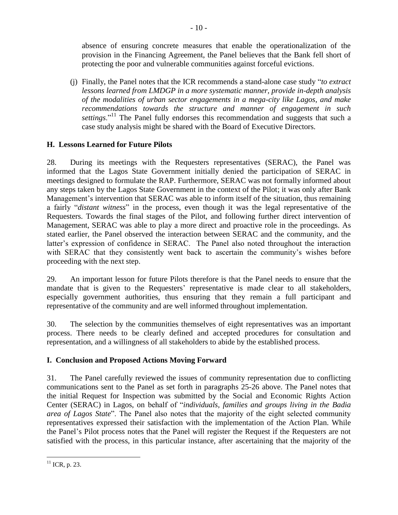absence of ensuring concrete measures that enable the operationalization of the provision in the Financing Agreement, the Panel believes that the Bank fell short of protecting the poor and vulnerable communities against forceful evictions.

(j) Finally, the Panel notes that the ICR recommends a stand-alone case study "*to extract lessons learned from LMDGP in a more systematic manner, provide in-depth analysis of the modalities of urban sector engagements in a mega-city like Lagos, and make recommendations towards the structure and manner of engagement in such settings*."<sup>11</sup> The Panel fully endorses this recommendation and suggests that such a case study analysis might be shared with the Board of Executive Directors.

# **H. Lessons Learned for Future Pilots**

28. During its meetings with the Requesters representatives (SERAC), the Panel was informed that the Lagos State Government initially denied the participation of SERAC in meetings designed to formulate the RAP. Furthermore, SERAC was not formally informed about any steps taken by the Lagos State Government in the context of the Pilot; it was only after Bank Management's intervention that SERAC was able to inform itself of the situation, thus remaining a fairly "*distant witness*" in the process, even though it was the legal representative of the Requesters. Towards the final stages of the Pilot, and following further direct intervention of Management, SERAC was able to play a more direct and proactive role in the proceedings. As stated earlier, the Panel observed the interaction between SERAC and the community, and the latter's expression of confidence in SERAC. The Panel also noted throughout the interaction with SERAC that they consistently went back to ascertain the community's wishes before proceeding with the next step.

29. An important lesson for future Pilots therefore is that the Panel needs to ensure that the mandate that is given to the Requesters' representative is made clear to all stakeholders, especially government authorities, thus ensuring that they remain a full participant and representative of the community and are well informed throughout implementation.

30. The selection by the communities themselves of eight representatives was an important process. There needs to be clearly defined and accepted procedures for consultation and representation, and a willingness of all stakeholders to abide by the established process.

## **I. Conclusion and Proposed Actions Moving Forward**

31. The Panel carefully reviewed the issues of community representation due to conflicting communications sent to the Panel as set forth in paragraphs 25-26 above. The Panel notes that the initial Request for Inspection was submitted by the Social and Economic Rights Action Center (SERAC) in Lagos, on behalf of "*individuals, families and groups living in the Badia area of Lagos State*". The Panel also notes that the majority of the eight selected community representatives expressed their satisfaction with the implementation of the Action Plan. While the Panel's Pilot process notes that the Panel will register the Request if the Requesters are not satisfied with the process, in this particular instance, after ascertaining that the majority of the

 $\overline{\phantom{a}}$  $11$  ICR, p. 23.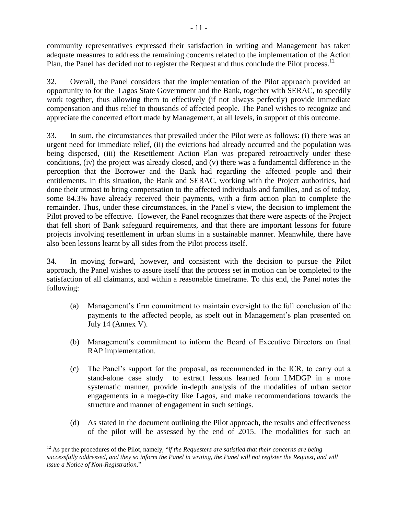community representatives expressed their satisfaction in writing and Management has taken adequate measures to address the remaining concerns related to the implementation of the Action Plan, the Panel has decided not to register the Request and thus conclude the Pilot process.<sup>12</sup>

32. Overall, the Panel considers that the implementation of the Pilot approach provided an opportunity to for the Lagos State Government and the Bank, together with SERAC, to speedily work together, thus allowing them to effectively (if not always perfectly) provide immediate compensation and thus relief to thousands of affected people. The Panel wishes to recognize and appreciate the concerted effort made by Management, at all levels, in support of this outcome.

33. In sum, the circumstances that prevailed under the Pilot were as follows: (i) there was an urgent need for immediate relief, (ii) the evictions had already occurred and the population was being dispersed, (iii) the Resettlement Action Plan was prepared retroactively under these conditions, (iv) the project was already closed, and (v) there was a fundamental difference in the perception that the Borrower and the Bank had regarding the affected people and their entitlements. In this situation, the Bank and SERAC, working with the Project authorities, had done their utmost to bring compensation to the affected individuals and families, and as of today, some 84.3% have already received their payments, with a firm action plan to complete the remainder. Thus, under these circumstances, in the Panel's view, the decision to implement the Pilot proved to be effective. However, the Panel recognizes that there were aspects of the Project that fell short of Bank safeguard requirements, and that there are important lessons for future projects involving resettlement in urban slums in a sustainable manner. Meanwhile, there have also been lessons learnt by all sides from the Pilot process itself.

34. In moving forward, however, and consistent with the decision to pursue the Pilot approach, the Panel wishes to assure itself that the process set in motion can be completed to the satisfaction of all claimants, and within a reasonable timeframe. To this end, the Panel notes the following:

- (a) Management's firm commitment to maintain oversight to the full conclusion of the payments to the affected people, as spelt out in Management's plan presented on July 14 (Annex V).
- (b) Management's commitment to inform the Board of Executive Directors on final RAP implementation.
- (c) The Panel's support for the proposal, as recommended in the ICR, to carry out a stand-alone case study to extract lessons learned from LMDGP in a more systematic manner, provide in-depth analysis of the modalities of urban sector engagements in a mega-city like Lagos, and make recommendations towards the structure and manner of engagement in such settings.
- (d) As stated in the document outlining the Pilot approach, the results and effectiveness of the pilot will be assessed by the end of 2015. The modalities for such an

 $\overline{\phantom{a}}$ <sup>12</sup> As per the procedures of the Pilot, namely, "*if the Requesters are satisfied that their concerns are being successfully addressed, and they so inform the Panel in writing, the Panel will not register the Request, and will issue a Notice of Non-Registration*."